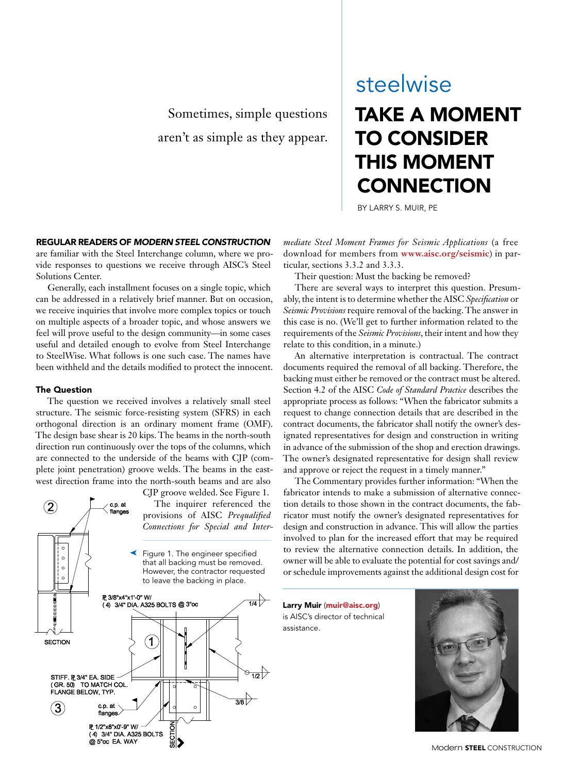Sometimes, simple questions aren't as simple as they appear.

# TAKE A MOMENT TO CONSIDER THIS MOMENT **CONNECTION** steelwise

BY LARRY S. MUIR, PE

REGULAR READERS OF *MODERN STEEL CONSTRUCTION* are familiar with the Steel Interchange column, where we provide responses to questions we receive through AISC's Steel Solutions Center.

Generally, each installment focuses on a single topic, which can be addressed in a relatively brief manner. But on occasion, we receive inquiries that involve more complex topics or touch on multiple aspects of a broader topic, and whose answers we feel will prove useful to the design community—in some cases useful and detailed enough to evolve from Steel Interchange to SteelWise. What follows is one such case. The names have been withheld and the details modified to protect the innocent.

#### The Question

The question we received involves a relatively small steel structure. The seismic force-resisting system (SFRS) in each orthogonal direction is an ordinary moment frame (OMF). The design base shear is 20 kips. The beams in the north-south direction run continuously over the tops of the columns, which are connected to the underside of the beams with CJP (complete joint penetration) groove welds. The beams in the eastwest direction frame into the north-south beams and are also



*mediate Steel Moment Frames for Seismic Applications* (a free download for members from **www.aisc.org/seismic**) in particular, sections 3.3.2 and 3.3.3.

Their question: Must the backing be removed?

There are several ways to interpret this question. Presumably, the intent is to determine whether the AISC *Specification* or *Seismic Provisions* require removal of the backing. The answer in this case is no. (We'll get to further information related to the requirements of the *Seismic Provisions*, their intent and how they relate to this condition, in a minute.)

An alternative interpretation is contractual. The contract documents required the removal of all backing. Therefore, the backing must either be removed or the contract must be altered. Section 4.2 of the AISC *Code of Standard Practice* describes the appropriate process as follows: "When the fabricator submits a request to change connection details that are described in the contract documents, the fabricator shall notify the owner's designated representatives for design and construction in writing in advance of the submission of the shop and erection drawings. The owner's designated representative for design shall review and approve or reject the request in a timely manner."

The Commentary provides further information: "When the fabricator intends to make a submission of alternative connection details to those shown in the contract documents, the fabricator must notify the owner's designated representatives for design and construction in advance. This will allow the parties involved to plan for the increased effort that may be required to review the alternative connection details. In addition, the owner will be able to evaluate the potential for cost savings and/ or schedule improvements against the additional design cost for

Larry Muir (muir@aisc.org) is AISC's director of technical assistance.



Modern **STEEL** CONSTRUCTION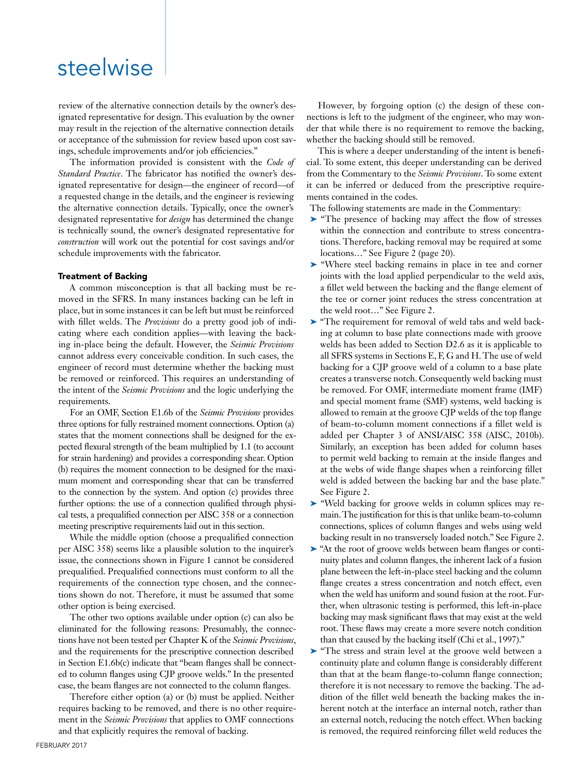review of the alternative connection details by the owner's designated representative for design. This evaluation by the owner may result in the rejection of the alternative connection details or acceptance of the submission for review based upon cost savings, schedule improvements and/or job efficiencies."

The information provided is consistent with the *Code of Standard Practice*. The fabricator has notified the owner's designated representative for design—the engineer of record—of a requested change in the details, and the engineer is reviewing the alternative connection details. Typically, once the owner's designated representative for *design* has determined the change is technically sound, the owner's designated representative for *construction* will work out the potential for cost savings and/or schedule improvements with the fabricator.

#### Treatment of Backing

A common misconception is that all backing must be removed in the SFRS. In many instances backing can be left in place, but in some instances it can be left but must be reinforced with fillet welds. The *Provisions* do a pretty good job of indicating where each condition applies—with leaving the backing in-place being the default. However, the *Seismic Provisions*  cannot address every conceivable condition. In such cases, the engineer of record must determine whether the backing must be removed or reinforced. This requires an understanding of the intent of the *Seismic Provisions* and the logic underlying the requirements.

For an OMF, Section E1.6b of the *Seismic Provisions* provides three options for fully restrained moment connections. Option (a) states that the moment connections shall be designed for the expected flexural strength of the beam multiplied by 1.1 (to account for strain hardening) and provides a corresponding shear. Option (b) requires the moment connection to be designed for the maximum moment and corresponding shear that can be transferred to the connection by the system. And option (c) provides three further options: the use of a connection qualified through physical tests, a prequalified connection per AISC 358 or a connection meeting prescriptive requirements laid out in this section.

While the middle option (choose a prequalified connection per AISC 358) seems like a plausible solution to the inquirer's issue, the connections shown in Figure 1 cannot be considered prequalified. Prequalified connections must conform to all the requirements of the connection type chosen, and the connections shown do not. Therefore, it must be assumed that some other option is being exercised.

The other two options available under option (c) can also be eliminated for the following reasons: Presumably, the connections have not been tested per Chapter K of the *Seismic Provisions*, and the requirements for the prescriptive connection described in Section E1.6b(c) indicate that "beam flanges shall be connected to column flanges using CJP groove welds." In the presented case, the beam flanges are not connected to the column flanges.

Therefore either option (a) or (b) must be applied. Neither requires backing to be removed, and there is no other requirement in the *Seismic Provisions* that applies to OMF connections and that explicitly requires the removal of backing.

However, by forgoing option (c) the design of these connections is left to the judgment of the engineer, who may wonder that while there is no requirement to remove the backing, whether the backing should still be removed.

This is where a deeper understanding of the intent is beneficial. To some extent, this deeper understanding can be derived from the Commentary to the *Seismic Provisions*. To some extent it can be inferred or deduced from the prescriptive requirements contained in the codes.

The following statements are made in the Commentary:

- ➤ "The presence of backing may affect the flow of stresses within the connection and contribute to stress concentrations. Therefore, backing removal may be required at some locations…" See Figure 2 (page 20).
- ➤ "Where steel backing remains in place in tee and corner joints with the load applied perpendicular to the weld axis, a fillet weld between the backing and the flange element of the tee or corner joint reduces the stress concentration at the weld root…" See Figure 2.
- ➤ "The requirement for removal of weld tabs and weld backing at column to base plate connections made with groove welds has been added to Section D2.6 as it is applicable to all SFRS systems in Sections E, F, G and H. The use of weld backing for a CJP groove weld of a column to a base plate creates a transverse notch. Consequently weld backing must be removed. For OMF, intermediate moment frame (IMF) and special moment frame (SMF) systems, weld backing is allowed to remain at the groove CJP welds of the top flange of beam-to-column moment connections if a fillet weld is added per Chapter 3 of ANSI/AISC 358 (AISC, 2010b). Similarly, an exception has been added for column bases to permit weld backing to remain at the inside flanges and at the webs of wide flange shapes when a reinforcing fillet weld is added between the backing bar and the base plate." See Figure 2.
- ➤ "Weld backing for groove welds in column splices may remain. The justification for this is that unlike beam-to-column connections, splices of column flanges and webs using weld backing result in no transversely loaded notch." See Figure 2.
- ➤ "At the root of groove welds between beam flanges or continuity plates and column flanges, the inherent lack of a fusion plane between the left-in-place steel backing and the column flange creates a stress concentration and notch effect, even when the weld has uniform and sound fusion at the root. Further, when ultrasonic testing is performed, this left-in-place backing may mask significant flaws that may exist at the weld root. These flaws may create a more severe notch condition than that caused by the backing itself (Chi et al., 1997)."
- ➤ "The stress and strain level at the groove weld between a continuity plate and column flange is considerably different than that at the beam flange-to-column flange connection; therefore it is not necessary to remove the backing. The addition of the fillet weld beneath the backing makes the inherent notch at the interface an internal notch, rather than an external notch, reducing the notch effect. When backing is removed, the required reinforcing fillet weld reduces the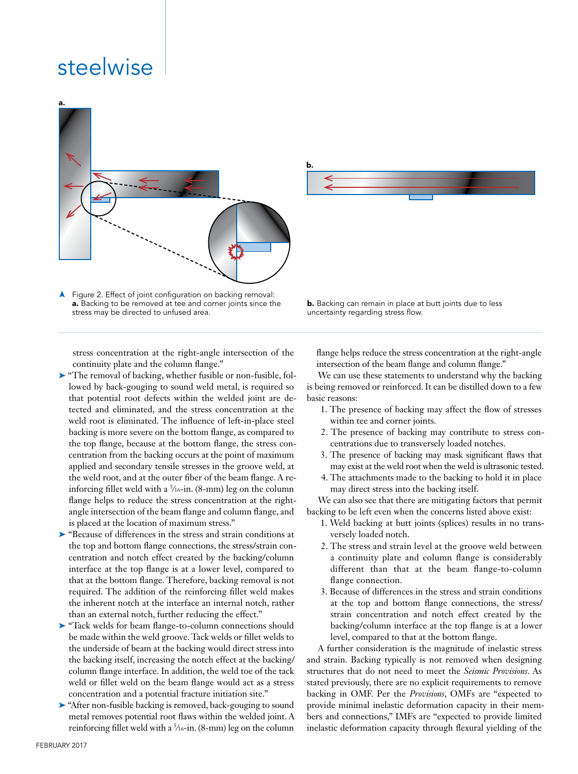

Figure 2. Effect of joint configuration on backing removal: a. Backing to be removed at tee and corner joints since the stress may be directed to unfused area. ➤

stress concentration at the right-angle intersection of the continuity plate and the column flange."

- ➤ "The removal of backing, whether fusible or non-fusible, followed by back-gouging to sound weld metal, is required so that potential root defects within the welded joint are detected and eliminated, and the stress concentration at the weld root is eliminated. The influence of left-in-place steel backing is more severe on the bottom flange, as compared to the top flange, because at the bottom flange, the stress concentration from the backing occurs at the point of maximum applied and secondary tensile stresses in the groove weld, at the weld root, and at the outer fiber of the beam flange. A reinforcing fillet weld with a  $\frac{5}{16}$ -in. (8-mm) leg on the column flange helps to reduce the stress concentration at the rightangle intersection of the beam flange and column flange, and is placed at the location of maximum stress."
- ➤ "Because of differences in the stress and strain conditions at the top and bottom flange connections, the stress/strain concentration and notch effect created by the backing/column interface at the top flange is at a lower level, compared to that at the bottom flange. Therefore, backing removal is not required. The addition of the reinforcing fillet weld makes the inherent notch at the interface an internal notch, rather than an external notch, further reducing the effect."
- ➤ "Tack welds for beam flange-to-column connections should be made within the weld groove. Tack welds or fillet welds to the underside of beam at the backing would direct stress into the backing itself, increasing the notch effect at the backing/ column flange interface. In addition, the weld toe of the tack weld or fillet weld on the beam flange would act as a stress concentration and a potential fracture initiation site."
- ➤ "After non-fusible backing is removed, back-gouging to sound metal removes potential root flaws within the welded joint. A reinforcing fillet weld with a 5⁄16-in. (8-mm) leg on the column



**b.** Backing can remain in place at butt joints due to less uncertainty regarding stress flow.

flange helps reduce the stress concentration at the right-angle intersection of the beam flange and column flange."

We can use these statements to understand why the backing is being removed or reinforced. It can be distilled down to a few basic reasons:

- 1. The presence of backing may affect the flow of stresses within tee and corner joints.
- 2. The presence of backing may contribute to stress concentrations due to transversely loaded notches.
- 3. The presence of backing may mask significant flaws that may exist at the weld root when the weld is ultrasonic tested.
- 4. The attachments made to the backing to hold it in place may direct stress into the backing itself.

We can also see that there are mitigating factors that permit backing to be left even when the concerns listed above exist:

- 1. Weld backing at butt joints (splices) results in no transversely loaded notch.
- 2. The stress and strain level at the groove weld between a continuity plate and column flange is considerably different than that at the beam flange-to-column flange connection.
- 3. Because of differences in the stress and strain conditions at the top and bottom flange connections, the stress/ strain concentration and notch effect created by the backing/column interface at the top flange is at a lower level, compared to that at the bottom flange.

A further consideration is the magnitude of inelastic stress and strain. Backing typically is not removed when designing structures that do not need to meet the *Seismic Provisions*. As stated previously, there are no explicit requirements to remove backing in OMF. Per the *Provisions*, OMFs are "expected to provide minimal inelastic deformation capacity in their members and connections," IMFs are "expected to provide limited inelastic deformation capacity through flexural yielding of the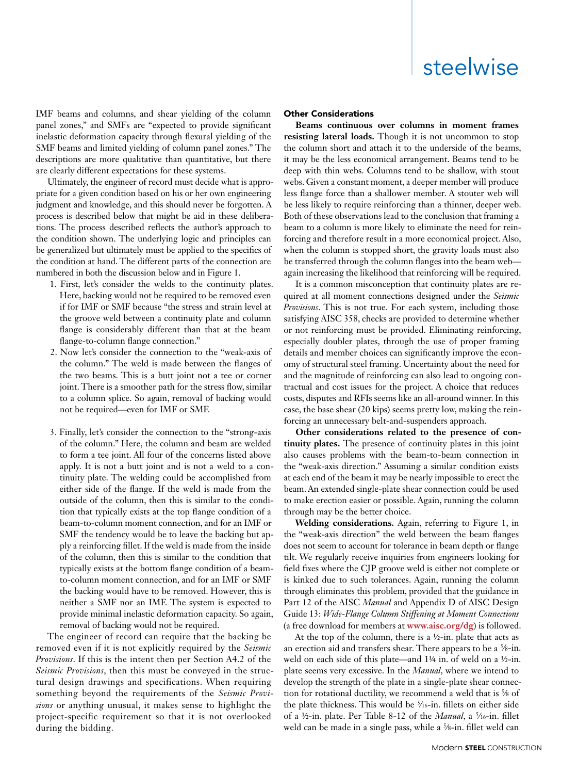IMF beams and columns, and shear yielding of the column panel zones," and SMFs are "expected to provide significant inelastic deformation capacity through flexural yielding of the SMF beams and limited yielding of column panel zones." The descriptions are more qualitative than quantitative, but there are clearly different expectations for these systems.

Ultimately, the engineer of record must decide what is appropriate for a given condition based on his or her own engineering judgment and knowledge, and this should never be forgotten. A process is described below that might be aid in these deliberations. The process described reflects the author's approach to the condition shown. The underlying logic and principles can be generalized but ultimately must be applied to the specifics of the condition at hand. The different parts of the connection are numbered in both the discussion below and in Figure 1.

- 1. First, let's consider the welds to the continuity plates. Here, backing would not be required to be removed even if for IMF or SMF because "the stress and strain level at the groove weld between a continuity plate and column flange is considerably different than that at the beam flange-to-column flange connection."
- 2. Now let's consider the connection to the "weak-axis of the column." The weld is made between the flanges of the two beams. This is a butt joint not a tee or corner joint. There is a smoother path for the stress flow, similar to a column splice. So again, removal of backing would not be required—even for IMF or SMF.
- 3. Finally, let's consider the connection to the "strong-axis of the column." Here, the column and beam are welded to form a tee joint. All four of the concerns listed above apply. It is not a butt joint and is not a weld to a continuity plate. The welding could be accomplished from either side of the flange. If the weld is made from the outside of the column, then this is similar to the condition that typically exists at the top flange condition of a beam-to-column moment connection, and for an IMF or SMF the tendency would be to leave the backing but apply a reinforcing fillet. If the weld is made from the inside of the column, then this is similar to the condition that typically exists at the bottom flange condition of a beamto-column moment connection, and for an IMF or SMF the backing would have to be removed. However, this is neither a SMF nor an IMF. The system is expected to provide minimal inelastic deformation capacity. So again, removal of backing would not be required.

The engineer of record can require that the backing be removed even if it is not explicitly required by the *Seismic Provisions*. If this is the intent then per Section A4.2 of the *Seismic Provisions*, then this must be conveyed in the structural design drawings and specifications. When requiring something beyond the requirements of the *Seismic Provisions* or anything unusual, it makes sense to highlight the project-specific requirement so that it is not overlooked during the bidding.

## Other Considerations

**Beams continuous over columns in moment frames resisting lateral loads.** Though it is not uncommon to stop the column short and attach it to the underside of the beams, it may be the less economical arrangement. Beams tend to be deep with thin webs. Columns tend to be shallow, with stout webs. Given a constant moment, a deeper member will produce less flange force than a shallower member. A stouter web will be less likely to require reinforcing than a thinner, deeper web. Both of these observations lead to the conclusion that framing a beam to a column is more likely to eliminate the need for reinforcing and therefore result in a more economical project. Also, when the column is stopped short, the gravity loads must also be transferred through the column flanges into the beam web again increasing the likelihood that reinforcing will be required.

It is a common misconception that continuity plates are required at all moment connections designed under the *Seismic Provisions*. This is not true. For each system, including those satisfying AISC 358, checks are provided to determine whether or not reinforcing must be provided. Eliminating reinforcing, especially doubler plates, through the use of proper framing details and member choices can significantly improve the economy of structural steel framing. Uncertainty about the need for and the magnitude of reinforcing can also lead to ongoing contractual and cost issues for the project. A choice that reduces costs, disputes and RFIs seems like an all-around winner. In this case, the base shear (20 kips) seems pretty low, making the reinforcing an unnecessary belt-and-suspenders approach.

**Other considerations related to the presence of continuity plates.** The presence of continuity plates in this joint also causes problems with the beam-to-beam connection in the "weak-axis direction." Assuming a similar condition exists at each end of the beam it may be nearly impossible to erect the beam. An extended single-plate shear connection could be used to make erection easier or possible. Again, running the column through may be the better choice.

**Welding considerations.** Again, referring to Figure 1, in the "weak-axis direction" the weld between the beam flanges does not seem to account for tolerance in beam depth or flange tilt. We regularly receive inquiries from engineers looking for field fixes where the CJP groove weld is either not complete or is kinked due to such tolerances. Again, running the column through eliminates this problem, provided that the guidance in Part 12 of the AISC *Manual* and Appendix D of AISC Design Guide 13: *Wide-Flange Column Stiffening at Moment Connections* (a free download for members at **www.aisc.org/dg**) is followed.

At the top of the column, there is a  $\frac{1}{2}$ -in. plate that acts as an erection aid and transfers shear. There appears to be a <sup>5</sup>/8-in. weld on each side of this plate—and 1¼ in. of weld on a ½-in. plate seems very excessive. In the *Manual*, where we intend to develop the strength of the plate in a single-plate shear connection for rotational ductility, we recommend a weld that is <sup>5</sup>/8 of the plate thickness. This would be <sup>5</sup>/16-in. fillets on either side of a ½-in. plate. Per Table 8-12 of the *Manual*, a 5⁄16-in. fillet weld can be made in a single pass, while a  $\frac{5}{8}$ -in. fillet weld can